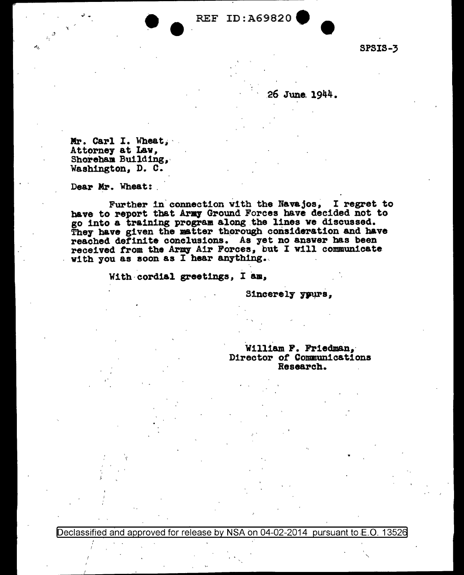SPSIS-3

## .26 June. 1944.

Mr. Carl I. Wheat., ...<br>Attorney at Lav, Shoreham Building,<br>Washington, D. C.

Dear Mr. Wheat:

.'

Further in connection with the Navajos, I regret to have to report that Army Ground Forces have decided not to go into a training program along the lines we discussed. They have given the matter therough consideration and have reached definite conclusions. As yet no answer bas been received from the Army Air Forces, but I will communicate with you as soon as I hear anything.

With cordial greetings, I am,

Sincerely yours,

William F. Friedman, Director of Communications Research.

Declassified and approved for release by NSA on 04-02-2014 pursuant to E.O. 13526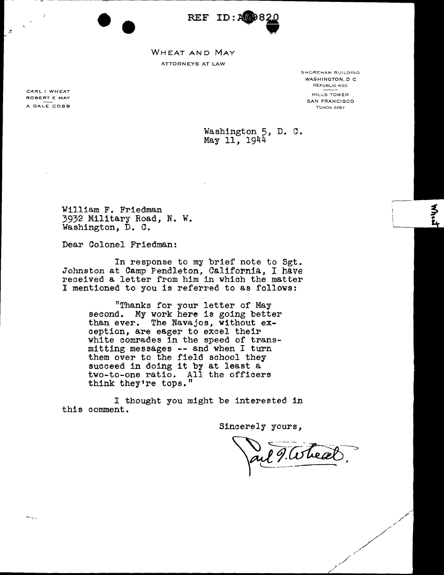REF ID:A

WHEAT AND MAY ATTORNEYS AT LAW

> SHOREHAM BUILDING WASHINGTON, D C REPUBLIC 4123 MILLS TOWER SAN FRANCISCO YUKON 2287

Washington 5, D. C. May 11, 1944

William F. Friedman 3932 Military Road, N. W. Washington, D. C.

Dear Colonel Friedman:

--

In response to my brief note to Sgt. Johnston at Camp Pendleton, California, I have received a letter from him in.which the matter I mentioned to you is referred to as follows:

> "Thanks for your letter of May second. My work here is going better than ever. The Navajos, without exception, are eager to excel their white comrades in the speed of transmitting messages -- and when I turn them over to the field school they succeed in doing it by at least a two-to-one ratio. All the officers think they're tops."

I thought you might be interested in this comment.

Sincerely yours,

l 9. Where

CARL I WHEAT ROBERT E MAY A DALE COBB

 $\mathbb{R}^2$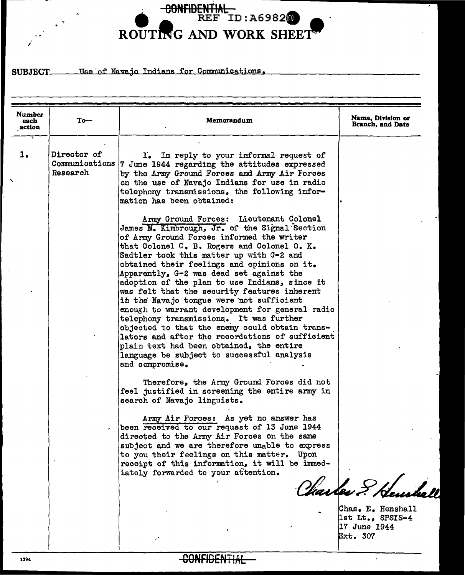

Use of Navajo Indians for Communications. SUBJECT

| Number<br>each<br>action | $To-$                                     | Memorandum                                                                                                                                                                                                                                                                                                                                                                                                                                                                                                                                                                                                                                                                                                                                                                              | Name, Division or<br>Branch, and Date                                                  |
|--------------------------|-------------------------------------------|-----------------------------------------------------------------------------------------------------------------------------------------------------------------------------------------------------------------------------------------------------------------------------------------------------------------------------------------------------------------------------------------------------------------------------------------------------------------------------------------------------------------------------------------------------------------------------------------------------------------------------------------------------------------------------------------------------------------------------------------------------------------------------------------|----------------------------------------------------------------------------------------|
| 1.                       | Director of<br>Communications<br>Research | 1. In reply to your informal request of<br>7 June 1944 regarding the attitudes expressed<br>by the Army Ground Forces and Army Air Forces<br>on the use of Navajo Indians for use in radio<br>telephony transmissions, the following infor-<br>mation has been obtained:                                                                                                                                                                                                                                                                                                                                                                                                                                                                                                                |                                                                                        |
|                          |                                           | Army Ground Forces: Lieutenant Colonel<br>James M. Kimbrough, Jr. of the Signal Section<br>of Army Ground Forces informed the writer<br>that Colonel G. B. Rogers and Colonel O. K.<br>Sadtler took this matter up with G-2 and<br>obtained their feelings and opinions on it.<br>Apparently, G-2 was dead set against the<br>adoption of the plan to use Indians, since it<br>was felt that the security features inherent<br>in the Navajo tongue were not sufficient<br>enough to warrant development for general radio<br>telephony transmissions. It was further<br>objected to that the enemy could obtain trans-<br>lators and after the recordations of sufficient<br>plain text had been obtained, the entire<br>language be subject to successful analysis<br>and compromise. |                                                                                        |
|                          |                                           | Therefore, the Army Ground Forces did not<br>feel justified in screening the entire army in<br>search of Navajo linguists.<br>Army Air Forces: As yet no answer has<br>been received to our request of 13 June 1944<br>directed to the Army Air Forces on the same<br>subject and we are therefore unable to express<br>to you their feelings on this matter. Upon<br>receipt of this information, it will be immed-<br>iately forwarded to your attention.                                                                                                                                                                                                                                                                                                                             | Charles & Henskal<br>Chas. E. Henshall<br>lst Lt., SPSIS-4<br>17 June 1944<br>Ext. 307 |

**CONFIDENTIAL** 

/